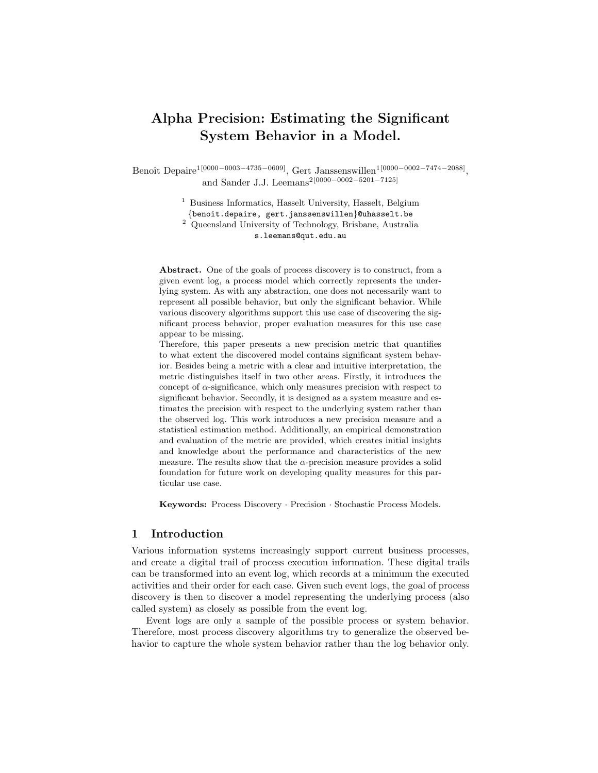# Alpha Precision: Estimating the Significant System Behavior in a Model.

Benoît Depaire<sup>1[0000–0003–4735–0609]</sup>, Gert Janssenswillen<sup>1[0000–0002–7474–2088]</sup>, and Sander J.J. Leemans<sup>2[0000–0002–5201–7125]</sup>

> <sup>1</sup> Business Informatics, Hasselt University, Hasselt, Belgium {benoit.depaire, gert.janssenswillen}@uhasselt.be 2 Queensland University of Technology, Brisbane, Australia s.leemans@qut.edu.au

Abstract. One of the goals of process discovery is to construct, from a given event log, a process model which correctly represents the underlying system. As with any abstraction, one does not necessarily want to represent all possible behavior, but only the significant behavior. While various discovery algorithms support this use case of discovering the significant process behavior, proper evaluation measures for this use case appear to be missing.

Therefore, this paper presents a new precision metric that quantifies to what extent the discovered model contains significant system behavior. Besides being a metric with a clear and intuitive interpretation, the metric distinguishes itself in two other areas. Firstly, it introduces the concept of  $\alpha$ -significance, which only measures precision with respect to significant behavior. Secondly, it is designed as a system measure and estimates the precision with respect to the underlying system rather than the observed log. This work introduces a new precision measure and a statistical estimation method. Additionally, an empirical demonstration and evaluation of the metric are provided, which creates initial insights and knowledge about the performance and characteristics of the new measure. The results show that the  $\alpha$ -precision measure provides a solid foundation for future work on developing quality measures for this particular use case.

Keywords: Process Discovery · Precision · Stochastic Process Models.

# 1 Introduction

Various information systems increasingly support current business processes, and create a digital trail of process execution information. These digital trails can be transformed into an event log, which records at a minimum the executed activities and their order for each case. Given such event logs, the goal of process discovery is then to discover a model representing the underlying process (also called system) as closely as possible from the event log.

Event logs are only a sample of the possible process or system behavior. Therefore, most process discovery algorithms try to generalize the observed behavior to capture the whole system behavior rather than the log behavior only.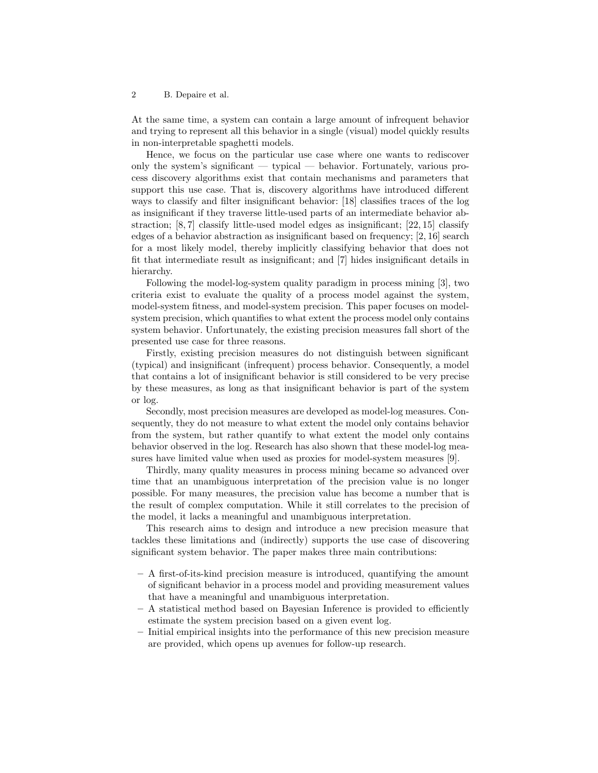At the same time, a system can contain a large amount of infrequent behavior and trying to represent all this behavior in a single (visual) model quickly results in non-interpretable spaghetti models.

Hence, we focus on the particular use case where one wants to rediscover only the system's significant — typical — behavior. Fortunately, various process discovery algorithms exist that contain mechanisms and parameters that support this use case. That is, discovery algorithms have introduced different ways to classify and filter insignificant behavior: [18] classifies traces of the log as insignificant if they traverse little-used parts of an intermediate behavior abstraction; [8, 7] classify little-used model edges as insignificant; [22, 15] classify edges of a behavior abstraction as insignificant based on frequency; [2, 16] search for a most likely model, thereby implicitly classifying behavior that does not fit that intermediate result as insignificant; and [7] hides insignificant details in hierarchy.

Following the model-log-system quality paradigm in process mining [3], two criteria exist to evaluate the quality of a process model against the system, model-system fitness, and model-system precision. This paper focuses on modelsystem precision, which quantifies to what extent the process model only contains system behavior. Unfortunately, the existing precision measures fall short of the presented use case for three reasons.

Firstly, existing precision measures do not distinguish between significant (typical) and insignificant (infrequent) process behavior. Consequently, a model that contains a lot of insignificant behavior is still considered to be very precise by these measures, as long as that insignificant behavior is part of the system or log.

Secondly, most precision measures are developed as model-log measures. Consequently, they do not measure to what extent the model only contains behavior from the system, but rather quantify to what extent the model only contains behavior observed in the log. Research has also shown that these model-log measures have limited value when used as proxies for model-system measures [9].

Thirdly, many quality measures in process mining became so advanced over time that an unambiguous interpretation of the precision value is no longer possible. For many measures, the precision value has become a number that is the result of complex computation. While it still correlates to the precision of the model, it lacks a meaningful and unambiguous interpretation.

This research aims to design and introduce a new precision measure that tackles these limitations and (indirectly) supports the use case of discovering significant system behavior. The paper makes three main contributions:

- A first-of-its-kind precision measure is introduced, quantifying the amount of significant behavior in a process model and providing measurement values that have a meaningful and unambiguous interpretation.
- A statistical method based on Bayesian Inference is provided to efficiently estimate the system precision based on a given event log.
- Initial empirical insights into the performance of this new precision measure are provided, which opens up avenues for follow-up research.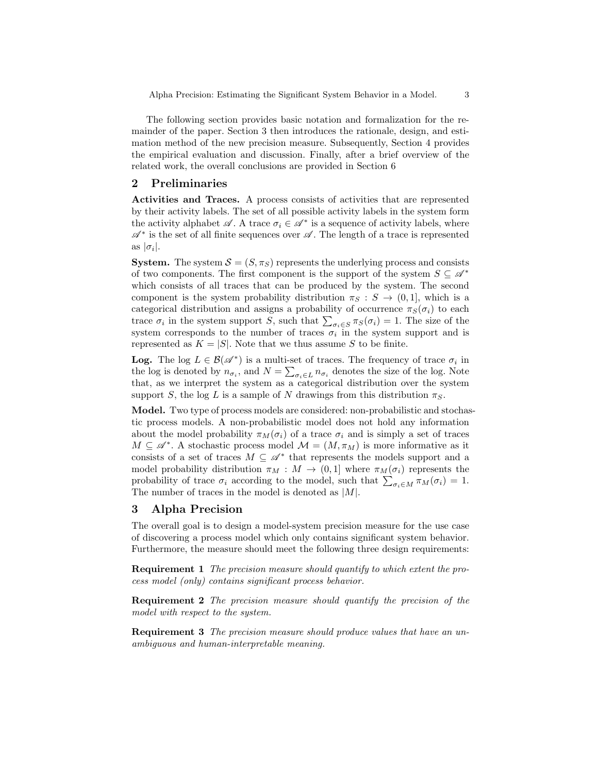The following section provides basic notation and formalization for the remainder of the paper. Section 3 then introduces the rationale, design, and estimation method of the new precision measure. Subsequently, Section 4 provides the empirical evaluation and discussion. Finally, after a brief overview of the related work, the overall conclusions are provided in Section 6

## 2 Preliminaries

Activities and Traces. A process consists of activities that are represented by their activity labels. The set of all possible activity labels in the system form the activity alphabet  $\mathscr{A}$ . A trace  $\sigma_i \in \mathscr{A}^*$  is a sequence of activity labels, where  $\mathscr{A}^*$  is the set of all finite sequences over  $\mathscr{A}.$  The length of a trace is represented as  $|\sigma_i|$ .

**System.** The system  $S = (S, \pi_S)$  represents the underlying process and consists of two components. The first component is the support of the system  $S \subseteq \mathscr{A}^*$ which consists of all traces that can be produced by the system. The second component is the system probability distribution  $\pi_S : S \to (0,1]$ , which is a categorical distribution and assigns a probability of occurrence  $\pi_S(\sigma_i)$  to each trace  $\sigma_i$  in the system support S, such that  $\sum_{\sigma_i \in S} \pi_S(\sigma_i) = 1$ . The size of the system corresponds to the number of traces  $\sigma_i$  in the system support and is represented as  $K = |S|$ . Note that we thus assume S to be finite.

**Log.** The log  $L \in \mathcal{B}(\mathcal{A}^*)$  is a multi-set of traces. The frequency of trace  $\sigma_i$  in the log is denoted by  $n_{\sigma_i}$ , and  $N = \sum_{\sigma_i \in L} n_{\sigma_i}$  denotes the size of the log. Note that, as we interpret the system as a categorical distribution over the system support S, the log L is a sample of N drawings from this distribution  $\pi_S$ .

Model. Two type of process models are considered: non-probabilistic and stochastic process models. A non-probabilistic model does not hold any information about the model probability  $\pi_M(\sigma_i)$  of a trace  $\sigma_i$  and is simply a set of traces  $M \subseteq \mathscr{A}^*$ . A stochastic process model  $\mathcal{M} = (M, \pi_M)$  is more informative as it consists of a set of traces  $M \subseteq \mathscr{A}^*$  that represents the models support and a model probability distribution  $\pi_M : M \to (0,1]$  where  $\pi_M(\sigma_i)$  represents the probability of trace  $\sigma_i$  according to the model, such that  $\sum_{\sigma_i \in M} \pi_M(\sigma_i) = 1$ . The number of traces in the model is denoted as  $|M|$ .

# 3 Alpha Precision

The overall goal is to design a model-system precision measure for the use case of discovering a process model which only contains significant system behavior. Furthermore, the measure should meet the following three design requirements:

Requirement 1 The precision measure should quantify to which extent the process model (only) contains significant process behavior.

Requirement 2 The precision measure should quantify the precision of the model with respect to the system.

**Requirement 3** The precision measure should produce values that have an unambiguous and human-interpretable meaning.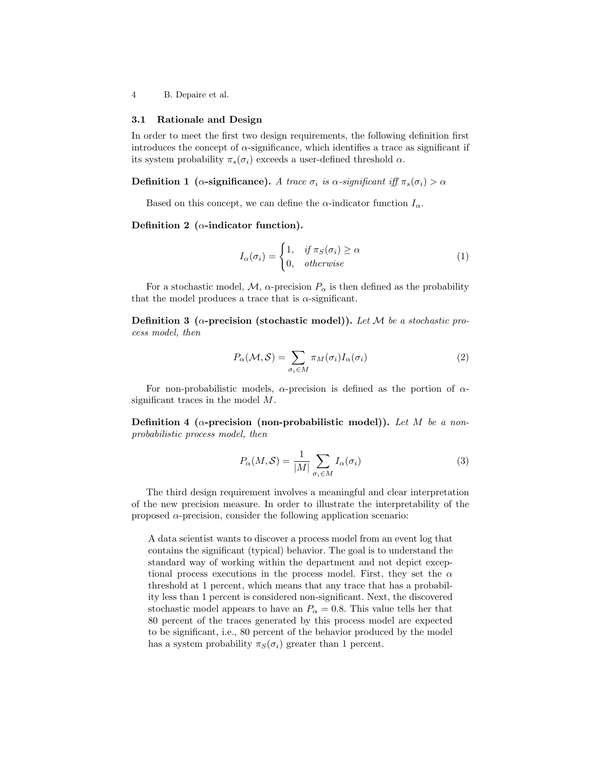### 3.1 Rationale and Design

In order to meet the first two design requirements, the following definition first introduces the concept of  $\alpha$ -significance, which identifies a trace as significant if its system probability  $\pi_s(\sigma_i)$  exceeds a user-defined threshold  $\alpha$ .

**Definition 1** ( $\alpha$ -significance). A trace  $\sigma_i$  is  $\alpha$ -significant iff  $\pi_s(\sigma_i) > \alpha$ 

Based on this concept, we can define the  $\alpha$ -indicator function  $I_{\alpha}$ .

## Definition 2 ( $\alpha$ -indicator function).

$$
I_{\alpha}(\sigma_i) = \begin{cases} 1, & if \pi_S(\sigma_i) \ge \alpha \\ 0, & otherwise \end{cases}
$$
 (1)

For a stochastic model,  $M$ ,  $\alpha$ -precision  $P_{\alpha}$  is then defined as the probability that the model produces a trace that is  $\alpha$ -significant.

Definition 3 ( $\alpha$ -precision (stochastic model)). Let M be a stochastic process model, then

$$
P_{\alpha}(\mathcal{M}, \mathcal{S}) = \sum_{\sigma_i \in M} \pi_M(\sigma_i) I_{\alpha}(\sigma_i)
$$
 (2)

For non-probabilistic models,  $\alpha$ -precision is defined as the portion of  $\alpha$ significant traces in the model M.

Definition 4 ( $\alpha$ -precision (non-probabilistic model)). Let M be a nonprobabilistic process model, then

$$
P_{\alpha}(M,\mathcal{S}) = \frac{1}{|M|} \sum_{\sigma_i \in M} I_{\alpha}(\sigma_i)
$$
 (3)

The third design requirement involves a meaningful and clear interpretation of the new precision measure. In order to illustrate the interpretability of the proposed  $\alpha$ -precision, consider the following application scenario:

A data scientist wants to discover a process model from an event log that contains the significant (typical) behavior. The goal is to understand the standard way of working within the department and not depict exceptional process executions in the process model. First, they set the  $\alpha$ threshold at 1 percent, which means that any trace that has a probability less than 1 percent is considered non-significant. Next, the discovered stochastic model appears to have an  $P_{\alpha} = 0.8$ . This value tells her that 80 percent of the traces generated by this process model are expected to be significant, i.e., 80 percent of the behavior produced by the model has a system probability  $\pi_S(\sigma_i)$  greater than 1 percent.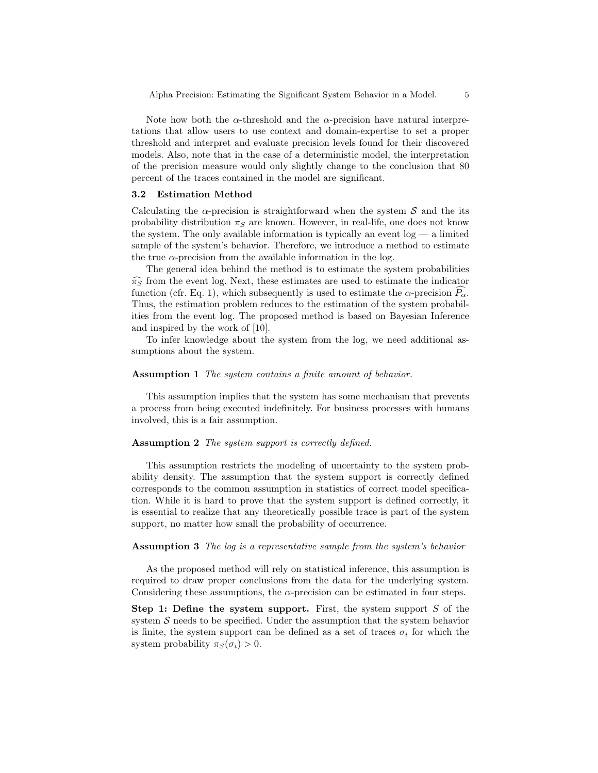Note how both the  $\alpha$ -threshold and the  $\alpha$ -precision have natural interpretations that allow users to use context and domain-expertise to set a proper threshold and interpret and evaluate precision levels found for their discovered models. Also, note that in the case of a deterministic model, the interpretation of the precision measure would only slightly change to the conclusion that 80 percent of the traces contained in the model are significant.

#### 3.2 Estimation Method

Calculating the  $\alpha$ -precision is straightforward when the system S and the its probability distribution  $\pi_S$  are known. However, in real-life, one does not know the system. The only available information is typically an event  $log - a$  limited sample of the system's behavior. Therefore, we introduce a method to estimate the true  $\alpha$ -precision from the available information in the log.

The general idea behind the method is to estimate the system probabilities  $\widehat{\pi_S}$  from the event log. Next, these estimates are used to estimate the indicator function (cfr. Eq. 1), which subsequently is used to estimate the  $\alpha$ -precision  $P_{\alpha}$ . Thus, the estimation problem reduces to the estimation of the system probabilities from the event log. The proposed method is based on Bayesian Inference and inspired by the work of [10].

To infer knowledge about the system from the log, we need additional assumptions about the system.

#### Assumption 1 The system contains a finite amount of behavior.

This assumption implies that the system has some mechanism that prevents a process from being executed indefinitely. For business processes with humans involved, this is a fair assumption.

#### Assumption 2 The system support is correctly defined.

This assumption restricts the modeling of uncertainty to the system probability density. The assumption that the system support is correctly defined corresponds to the common assumption in statistics of correct model specification. While it is hard to prove that the system support is defined correctly, it is essential to realize that any theoretically possible trace is part of the system support, no matter how small the probability of occurrence.

## Assumption 3 The log is a representative sample from the system's behavior

As the proposed method will rely on statistical inference, this assumption is required to draw proper conclusions from the data for the underlying system. Considering these assumptions, the  $\alpha$ -precision can be estimated in four steps.

Step 1: Define the system support. First, the system support  $S$  of the system  $\mathcal S$  needs to be specified. Under the assumption that the system behavior is finite, the system support can be defined as a set of traces  $\sigma_i$  for which the system probability  $\pi_S(\sigma_i) > 0$ .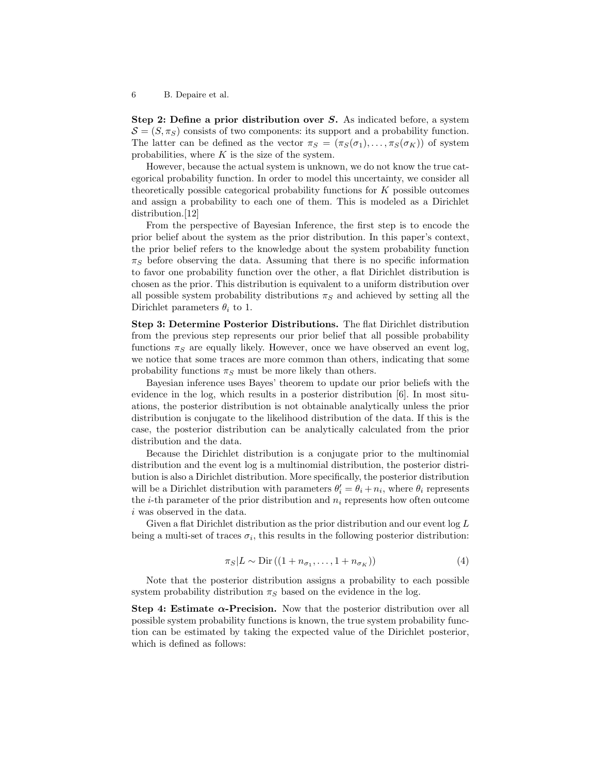Step 2: Define a prior distribution over S. As indicated before, a system  $\mathcal{S} = (S, \pi_S)$  consists of two components: its support and a probability function. The latter can be defined as the vector  $\pi_S = (\pi_S(\sigma_1), \ldots, \pi_S(\sigma_K))$  of system probabilities, where  $K$  is the size of the system.

However, because the actual system is unknown, we do not know the true categorical probability function. In order to model this uncertainty, we consider all theoretically possible categorical probability functions for K possible outcomes and assign a probability to each one of them. This is modeled as a Dirichlet distribution.<sup>[12]</sup>

From the perspective of Bayesian Inference, the first step is to encode the prior belief about the system as the prior distribution. In this paper's context, the prior belief refers to the knowledge about the system probability function  $\pi_S$  before observing the data. Assuming that there is no specific information to favor one probability function over the other, a flat Dirichlet distribution is chosen as the prior. This distribution is equivalent to a uniform distribution over all possible system probability distributions  $\pi_S$  and achieved by setting all the Dirichlet parameters  $\theta_i$  to 1.

Step 3: Determine Posterior Distributions. The flat Dirichlet distribution from the previous step represents our prior belief that all possible probability functions  $\pi_S$  are equally likely. However, once we have observed an event log, we notice that some traces are more common than others, indicating that some probability functions  $\pi_S$  must be more likely than others.

Bayesian inference uses Bayes' theorem to update our prior beliefs with the evidence in the log, which results in a posterior distribution [6]. In most situations, the posterior distribution is not obtainable analytically unless the prior distribution is conjugate to the likelihood distribution of the data. If this is the case, the posterior distribution can be analytically calculated from the prior distribution and the data.

Because the Dirichlet distribution is a conjugate prior to the multinomial distribution and the event log is a multinomial distribution, the posterior distribution is also a Dirichlet distribution. More specifically, the posterior distribution will be a Dirichlet distribution with parameters  $\theta_i' = \theta_i + n_i$ , where  $\theta_i$  represents the *i*-th parameter of the prior distribution and  $n_i$  represents how often outcome i was observed in the data.

Given a flat Dirichlet distribution as the prior distribution and our event log L being a multi-set of traces  $\sigma_i$ , this results in the following posterior distribution:

$$
\pi_S | L \sim \text{Dir} \left( (1 + n_{\sigma_1}, \dots, 1 + n_{\sigma_K}) \right) \tag{4}
$$

Note that the posterior distribution assigns a probability to each possible system probability distribution  $\pi_S$  based on the evidence in the log.

Step 4: Estimate  $\alpha$ -Precision. Now that the posterior distribution over all possible system probability functions is known, the true system probability function can be estimated by taking the expected value of the Dirichlet posterior, which is defined as follows: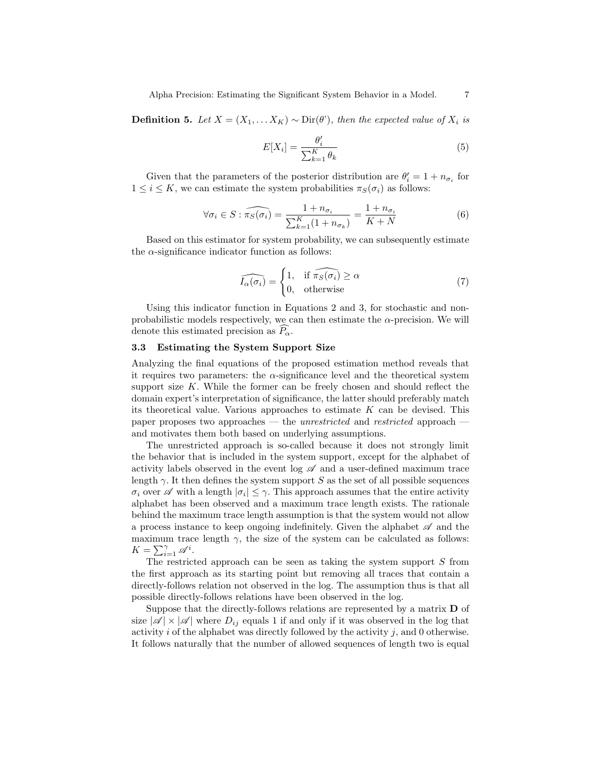**Definition 5.** Let  $X = (X_1, \ldots, X_K)$  ∼ Dir( $\theta$ '), then the expected value of  $X_i$  is

$$
E[X_i] = \frac{\theta_i'}{\sum_{k=1}^{K} \theta_k} \tag{5}
$$

Given that the parameters of the posterior distribution are  $\theta_i' = 1 + n_{\sigma_i}$  for  $1 \leq i \leq K$ , we can estimate the system probabilities  $\pi_S(\sigma_i)$  as follows:

$$
\forall \sigma_i \in S : \widehat{\pi_S(\sigma_i)} = \frac{1 + n_{\sigma_i}}{\sum_{k=1}^K (1 + n_{\sigma_k})} = \frac{1 + n_{\sigma_i}}{K + N}
$$
(6)

Based on this estimator for system probability, we can subsequently estimate the  $\alpha$ -significance indicator function as follows:

$$
\widehat{I_{\alpha}(\sigma_i)} = \begin{cases} 1, & \text{if } \widehat{\pi_S(\sigma_i)} \ge \alpha \\ 0, & \text{otherwise} \end{cases}
$$
(7)

Using this indicator function in Equations 2 and 3, for stochastic and nonprobabilistic models respectively, we can then estimate the  $\alpha$ -precision. We will denote this estimated precision as  $P_{\alpha}$ .

## 3.3 Estimating the System Support Size

Analyzing the final equations of the proposed estimation method reveals that it requires two parameters: the  $\alpha$ -significance level and the theoretical system support size  $K$ . While the former can be freely chosen and should reflect the domain expert's interpretation of significance, the latter should preferably match its theoretical value. Various approaches to estimate  $K$  can be devised. This paper proposes two approaches — the *unrestricted* and *restricted* approach and motivates them both based on underlying assumptions.

The unrestricted approach is so-called because it does not strongly limit the behavior that is included in the system support, except for the alphabet of activity labels observed in the event log  $\mathscr A$  and a user-defined maximum trace length  $\gamma$ . It then defines the system support S as the set of all possible sequences  $\sigma_i$  over  $\mathscr A$  with a length  $|\sigma_i| \leq \gamma$ . This approach assumes that the entire activity alphabet has been observed and a maximum trace length exists. The rationale behind the maximum trace length assumption is that the system would not allow a process instance to keep ongoing indefinitely. Given the alphabet  $\mathscr A$  and the maximum trace length  $\gamma$ , the size of the system can be calculated as follows:  $K = \sum_{i=1}^{\gamma} \mathscr{A}^i$ .

The restricted approach can be seen as taking the system support  $S$  from the first approach as its starting point but removing all traces that contain a directly-follows relation not observed in the log. The assumption thus is that all possible directly-follows relations have been observed in the log.

Suppose that the directly-follows relations are represented by a matrix D of size  $|\mathscr{A}| \times |\mathscr{A}|$  where  $D_{ij}$  equals 1 if and only if it was observed in the log that activity  $i$  of the alphabet was directly followed by the activity  $j$ , and 0 otherwise. It follows naturally that the number of allowed sequences of length two is equal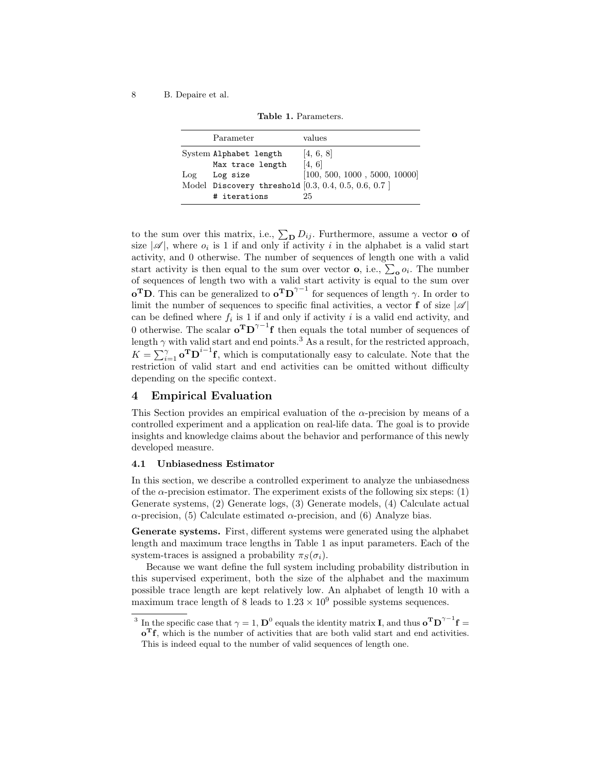|  | <b>Table 1.</b> Parameters. |
|--|-----------------------------|
|  |                             |

|     | Parameter                                                             | values                        |
|-----|-----------------------------------------------------------------------|-------------------------------|
|     | System Alphabet length                                                | [4, 6, 8]<br>[4, 6]           |
| Log | Max trace length<br>Log size                                          | [100, 500, 1000, 5000, 10000] |
|     | Model Discovery threshold $[0.3, 0.4, 0.5, 0.6, 0.7]$<br># iterations | 25                            |

to the sum over this matrix, i.e.,  $\sum_{\mathbf{D}} D_{ij}$ . Furthermore, assume a vector **o** of size  $|\mathscr{A}|$ , where  $o_i$  is 1 if and only if activity i in the alphabet is a valid start activity, and 0 otherwise. The number of sequences of length one with a valid start activity is then equal to the sum over vector **o**, i.e.,  $\sum_{o} o_i$ . The number of sequences of length two with a valid start activity is equal to the sum over **o<sup>T</sup>D**. This can be generalized to  $\mathbf{o}^T \mathbf{D}^{\gamma-1}$  for sequences of length  $\gamma$ . In order to limit the number of sequences to specific final activities, a vector  ${\bf f}$  of size  $|{\mathscr A}|$ can be defined where  $f_i$  is 1 if and only if activity i is a valid end activity, and 0 otherwise. The scalar  $\mathbf{o}^T \mathbf{D}^{\gamma-1} \mathbf{f}$  then equals the total number of sequences of length  $\gamma$  with valid start and end points.<sup>3</sup> As a result, for the restricted approach,  $K = \sum_{i=1}^{\gamma} \mathbf{o}^{\mathrm{T}} \mathbf{D}^{i-1} \mathbf{f}$ , which is computationally easy to calculate. Note that the restriction of valid start and end activities can be omitted without difficulty depending on the specific context.

## 4 Empirical Evaluation

This Section provides an empirical evaluation of the  $\alpha$ -precision by means of a controlled experiment and a application on real-life data. The goal is to provide insights and knowledge claims about the behavior and performance of this newly developed measure.

## 4.1 Unbiasedness Estimator

In this section, we describe a controlled experiment to analyze the unbiasedness of the  $\alpha$ -precision estimator. The experiment exists of the following six steps: (1) Generate systems, (2) Generate logs, (3) Generate models, (4) Calculate actual  $\alpha$ -precision, (5) Calculate estimated  $\alpha$ -precision, and (6) Analyze bias.

Generate systems. First, different systems were generated using the alphabet length and maximum trace lengths in Table 1 as input parameters. Each of the system-traces is assigned a probability  $\pi_S(\sigma_i)$ .

Because we want define the full system including probability distribution in this supervised experiment, both the size of the alphabet and the maximum possible trace length are kept relatively low. An alphabet of length 10 with a maximum trace length of 8 leads to  $1.23 \times 10^9$  possible systems sequences.

<sup>&</sup>lt;sup>3</sup> In the specific case that  $\gamma = 1$ ,  $\mathbf{D}^0$  equals the identity matrix **I**, and thus  $\mathbf{o}^T \mathbf{D}^{\gamma-1} \mathbf{f} =$ 

 $\mathbf{o}^{\mathrm{T}}\mathbf{f}$ , which is the number of activities that are both valid start and end activities. This is indeed equal to the number of valid sequences of length one.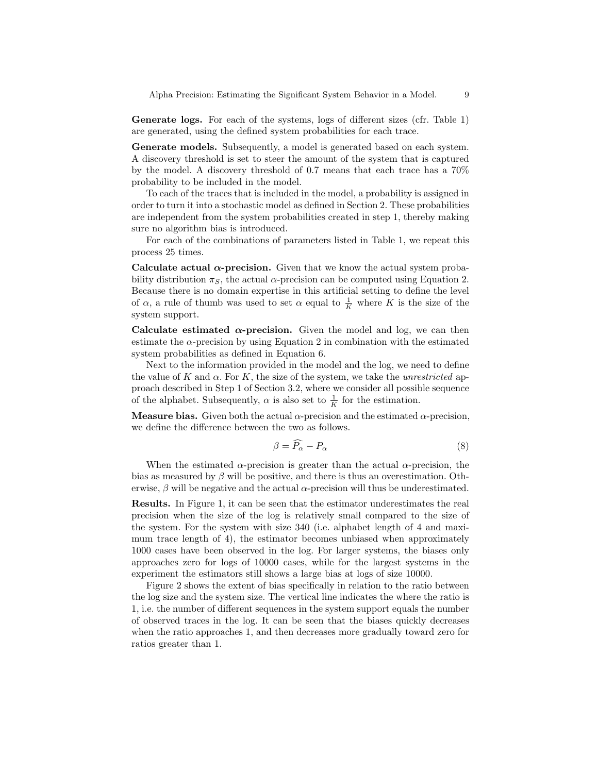Generate logs. For each of the systems, logs of different sizes (cfr. Table 1) are generated, using the defined system probabilities for each trace.

Generate models. Subsequently, a model is generated based on each system. A discovery threshold is set to steer the amount of the system that is captured by the model. A discovery threshold of 0.7 means that each trace has a 70% probability to be included in the model.

To each of the traces that is included in the model, a probability is assigned in order to turn it into a stochastic model as defined in Section 2. These probabilities are independent from the system probabilities created in step 1, thereby making sure no algorithm bias is introduced.

For each of the combinations of parameters listed in Table 1, we repeat this process 25 times.

Calculate actual  $\alpha$ -precision. Given that we know the actual system probability distribution  $\pi_S$ , the actual  $\alpha$ -precision can be computed using Equation 2. Because there is no domain expertise in this artificial setting to define the level of  $\alpha$ , a rule of thumb was used to set  $\alpha$  equal to  $\frac{1}{K}$  where K is the size of the system support.

Calculate estimated  $\alpha$ -precision. Given the model and log, we can then estimate the  $\alpha$ -precision by using Equation 2 in combination with the estimated system probabilities as defined in Equation 6.

Next to the information provided in the model and the log, we need to define the value of K and  $\alpha$ . For K, the size of the system, we take the *unrestricted* approach described in Step 1 of Section 3.2, where we consider all possible sequence of the alphabet. Subsequently,  $\alpha$  is also set to  $\frac{1}{K}$  for the estimation.

**Measure bias.** Given both the actual  $\alpha$ -precision and the estimated  $\alpha$ -precision, we define the difference between the two as follows.

$$
\beta = \widehat{P_{\alpha}} - P_{\alpha} \tag{8}
$$

When the estimated  $\alpha$ -precision is greater than the actual  $\alpha$ -precision, the bias as measured by  $\beta$  will be positive, and there is thus an overestimation. Otherwise,  $\beta$  will be negative and the actual  $\alpha$ -precision will thus be underestimated.

Results. In Figure 1, it can be seen that the estimator underestimates the real precision when the size of the log is relatively small compared to the size of the system. For the system with size 340 (i.e. alphabet length of 4 and maximum trace length of 4), the estimator becomes unbiased when approximately 1000 cases have been observed in the log. For larger systems, the biases only approaches zero for logs of 10000 cases, while for the largest systems in the experiment the estimators still shows a large bias at logs of size 10000.

Figure 2 shows the extent of bias specifically in relation to the ratio between the log size and the system size. The vertical line indicates the where the ratio is 1, i.e. the number of different sequences in the system support equals the number of observed traces in the log. It can be seen that the biases quickly decreases when the ratio approaches 1, and then decreases more gradually toward zero for ratios greater than 1.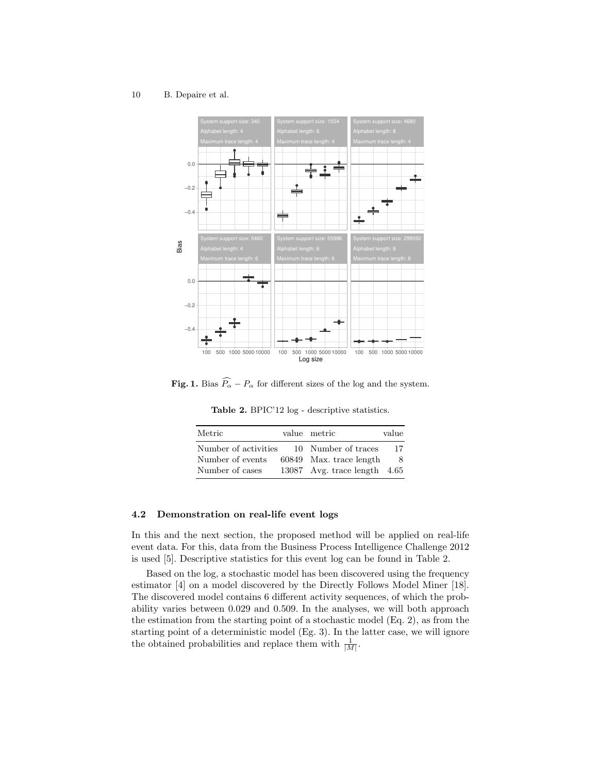10 B. Depaire et al.



**Fig. 1.** Bias  $\widehat{P_{\alpha}} - P_{\alpha}$  for different sizes of the log and the system.

Table 2. BPIC'12 log - descriptive statistics.

| Metric                                                      | value metric                                                                     | value   |
|-------------------------------------------------------------|----------------------------------------------------------------------------------|---------|
| Number of activities<br>Number of events<br>Number of cases | 10 Number of traces<br>60849 Max. trace length<br>13087 Avg. trace length $4.65$ | 17<br>8 |

# 4.2 Demonstration on real-life event logs

In this and the next section, the proposed method will be applied on real-life event data. For this, data from the Business Process Intelligence Challenge 2012 is used [5]. Descriptive statistics for this event log can be found in Table 2.

Based on the log, a stochastic model has been discovered using the frequency estimator [4] on a model discovered by the Directly Follows Model Miner [18]. The discovered model contains 6 different activity sequences, of which the probability varies between 0.029 and 0.509. In the analyses, we will both approach the estimation from the starting point of a stochastic model (Eq. 2), as from the starting point of a deterministic model (Eg. 3). In the latter case, we will ignore the obtained probabilities and replace them with  $\frac{1}{|M|}$ .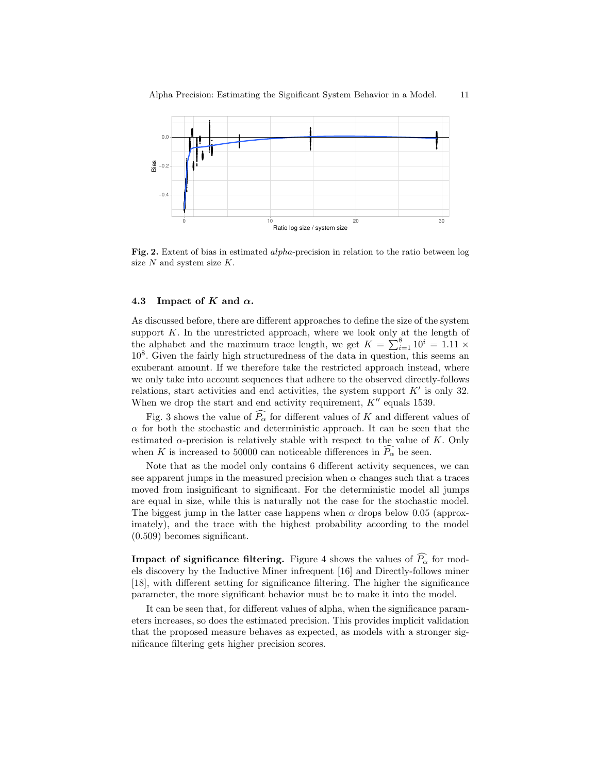

Fig. 2. Extent of bias in estimated *alpha*-precision in relation to the ratio between log size  $N$  and system size  $K$ .

## 4.3 Impact of K and  $\alpha$ .

As discussed before, there are different approaches to define the size of the system support  $K$ . In the unrestricted approach, where we look only at the length of the alphabet and the maximum trace length, we get  $K = \sum_{i=1}^{8} 10^i = 1.11 \times$ 10<sup>8</sup> . Given the fairly high structuredness of the data in question, this seems an exuberant amount. If we therefore take the restricted approach instead, where we only take into account sequences that adhere to the observed directly-follows relations, start activities and end activities, the system support  $K'$  is only 32. When we drop the start and end activity requirement,  $K''$  equals 1539.

Fig. 3 shows the value of  $\widehat{P_{\alpha}}$  for different values of K and different values of  $\alpha$  for both the stochastic and deterministic approach. It can be seen that the estimated  $\alpha$ -precision is relatively stable with respect to the value of K. Only when K is increased to 50000 can noticeable differences in  $P_{\alpha}$  be seen.

Note that as the model only contains 6 different activity sequences, we can see apparent jumps in the measured precision when  $\alpha$  changes such that a traces moved from insignificant to significant. For the deterministic model all jumps are equal in size, while this is naturally not the case for the stochastic model. The biggest jump in the latter case happens when  $\alpha$  drops below 0.05 (approximately), and the trace with the highest probability according to the model (0.509) becomes significant.

**Impact of significance filtering.** Figure 4 shows the values of  $\widehat{P_{\alpha}}$  for models discovery by the Inductive Miner infrequent [16] and Directly-follows miner [18], with different setting for significance filtering. The higher the significance parameter, the more significant behavior must be to make it into the model.

It can be seen that, for different values of alpha, when the significance parameters increases, so does the estimated precision. This provides implicit validation that the proposed measure behaves as expected, as models with a stronger significance filtering gets higher precision scores.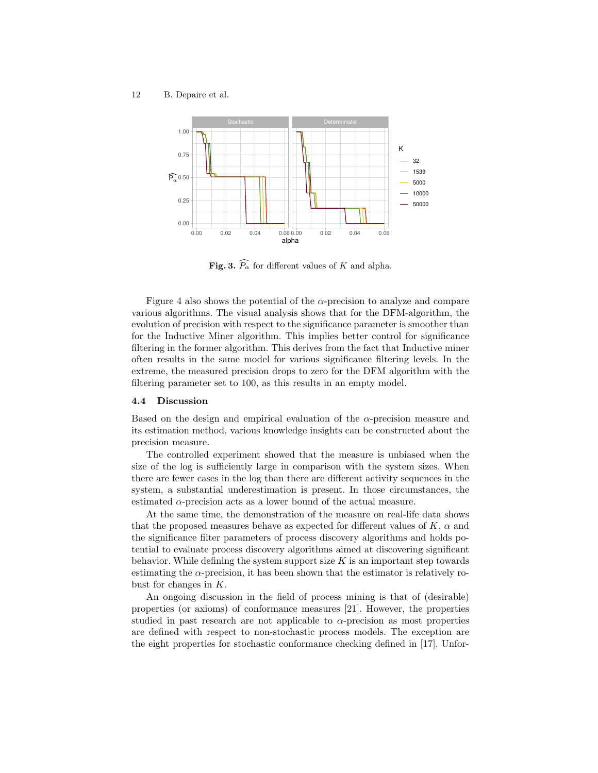

Fig. 3.  $\widehat{P_{\alpha}}$  for different values of K and alpha.

Figure 4 also shows the potential of the  $\alpha$ -precision to analyze and compare various algorithms. The visual analysis shows that for the DFM-algorithm, the evolution of precision with respect to the significance parameter is smoother than for the Inductive Miner algorithm. This implies better control for significance filtering in the former algorithm. This derives from the fact that Inductive miner often results in the same model for various significance filtering levels. In the extreme, the measured precision drops to zero for the DFM algorithm with the filtering parameter set to 100, as this results in an empty model.

## 4.4 Discussion

Based on the design and empirical evaluation of the  $\alpha$ -precision measure and its estimation method, various knowledge insights can be constructed about the precision measure.

The controlled experiment showed that the measure is unbiased when the size of the log is sufficiently large in comparison with the system sizes. When there are fewer cases in the log than there are different activity sequences in the system, a substantial underestimation is present. In those circumstances, the estimated  $\alpha$ -precision acts as a lower bound of the actual measure.

At the same time, the demonstration of the measure on real-life data shows that the proposed measures behave as expected for different values of  $K$ ,  $\alpha$  and the significance filter parameters of process discovery algorithms and holds potential to evaluate process discovery algorithms aimed at discovering significant behavior. While defining the system support size  $K$  is an important step towards estimating the  $\alpha$ -precision, it has been shown that the estimator is relatively robust for changes in  $K$ .

An ongoing discussion in the field of process mining is that of (desirable) properties (or axioms) of conformance measures [21]. However, the properties studied in past research are not applicable to  $\alpha$ -precision as most properties are defined with respect to non-stochastic process models. The exception are the eight properties for stochastic conformance checking defined in [17]. Unfor-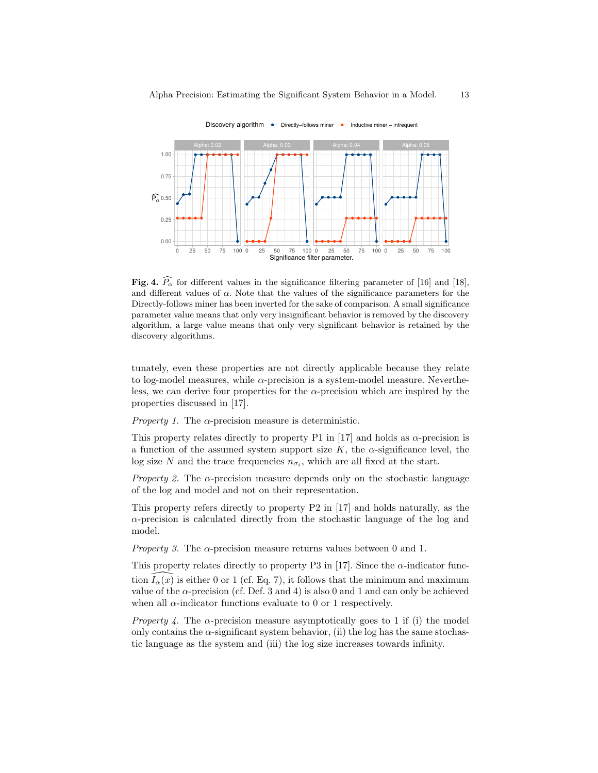

Discovery algorithm  $\rightarrow$  Directly−follows miner  $\rightarrow$  Inductive miner – infrequent

Fig. 4.  $\widehat{P_{\alpha}}$  for different values in the significance filtering parameter of [16] and [18], and different values of  $\alpha$ . Note that the values of the significance parameters for the Directly-follows miner has been inverted for the sake of comparison. A small significance parameter value means that only very insignificant behavior is removed by the discovery algorithm, a large value means that only very significant behavior is retained by the discovery algorithms.

tunately, even these properties are not directly applicable because they relate to log-model measures, while  $\alpha$ -precision is a system-model measure. Nevertheless, we can derive four properties for the  $\alpha$ -precision which are inspired by the properties discussed in [17].

*Property 1.* The  $\alpha$ -precision measure is deterministic.

This property relates directly to property P1 in [17] and holds as  $\alpha$ -precision is a function of the assumed system support size K, the  $\alpha$ -significance level, the log size N and the trace frequencies  $n_{\sigma_i}$ , which are all fixed at the start.

*Property 2.* The  $\alpha$ -precision measure depends only on the stochastic language of the log and model and not on their representation.

This property refers directly to property P2 in [17] and holds naturally, as the α-precision is calculated directly from the stochastic language of the log and model.

*Property 3.* The  $\alpha$ -precision measure returns values between 0 and 1.

This property relates directly to property P3 in [17]. Since the  $\alpha$ -indicator function  $I_{\alpha}(x)$  is either 0 or 1 (cf. Eq. 7), it follows that the minimum and maximum value of the  $\alpha$ -precision (cf. Def. 3 and 4) is also 0 and 1 and can only be achieved when all  $\alpha$ -indicator functions evaluate to 0 or 1 respectively.

*Property 4.* The  $\alpha$ -precision measure asymptotically goes to 1 if (i) the model only contains the  $\alpha$ -significant system behavior, (ii) the log has the same stochastic language as the system and (iii) the log size increases towards infinity.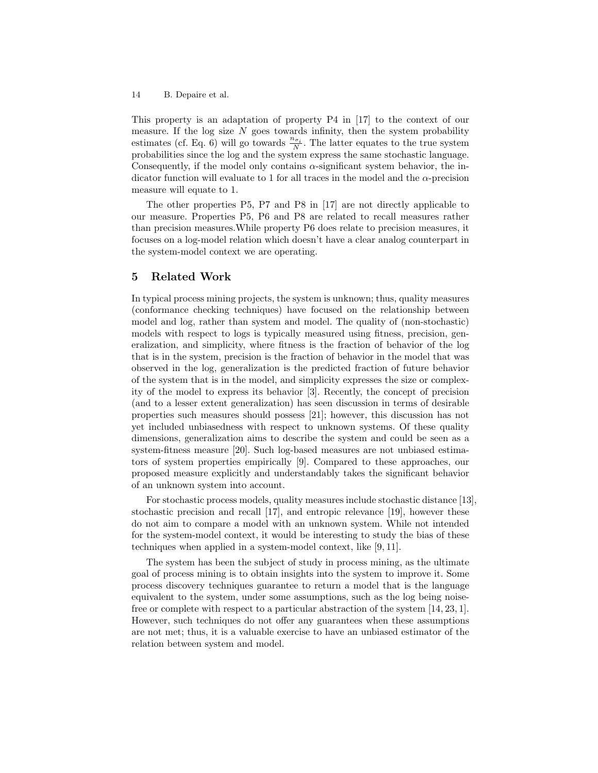This property is an adaptation of property P4 in [17] to the context of our measure. If the log size  $N$  goes towards infinity, then the system probability estimates (cf. Eq. 6) will go towards  $\frac{n_{\sigma_i}}{N}$ . The latter equates to the true system probabilities since the log and the system express the same stochastic language. Consequently, if the model only contains  $\alpha$ -significant system behavior, the indicator function will evaluate to 1 for all traces in the model and the  $\alpha$ -precision measure will equate to 1.

The other properties P5, P7 and P8 in [17] are not directly applicable to our measure. Properties P5, P6 and P8 are related to recall measures rather than precision measures.While property P6 does relate to precision measures, it focuses on a log-model relation which doesn't have a clear analog counterpart in the system-model context we are operating.

# 5 Related Work

In typical process mining projects, the system is unknown; thus, quality measures (conformance checking techniques) have focused on the relationship between model and log, rather than system and model. The quality of (non-stochastic) models with respect to logs is typically measured using fitness, precision, generalization, and simplicity, where fitness is the fraction of behavior of the log that is in the system, precision is the fraction of behavior in the model that was observed in the log, generalization is the predicted fraction of future behavior of the system that is in the model, and simplicity expresses the size or complexity of the model to express its behavior [3]. Recently, the concept of precision (and to a lesser extent generalization) has seen discussion in terms of desirable properties such measures should possess [21]; however, this discussion has not yet included unbiasedness with respect to unknown systems. Of these quality dimensions, generalization aims to describe the system and could be seen as a system-fitness measure [20]. Such log-based measures are not unbiased estimators of system properties empirically [9]. Compared to these approaches, our proposed measure explicitly and understandably takes the significant behavior of an unknown system into account.

For stochastic process models, quality measures include stochastic distance [13], stochastic precision and recall [17], and entropic relevance [19], however these do not aim to compare a model with an unknown system. While not intended for the system-model context, it would be interesting to study the bias of these techniques when applied in a system-model context, like [9, 11].

The system has been the subject of study in process mining, as the ultimate goal of process mining is to obtain insights into the system to improve it. Some process discovery techniques guarantee to return a model that is the language equivalent to the system, under some assumptions, such as the log being noisefree or complete with respect to a particular abstraction of the system [14, 23, 1]. However, such techniques do not offer any guarantees when these assumptions are not met; thus, it is a valuable exercise to have an unbiased estimator of the relation between system and model.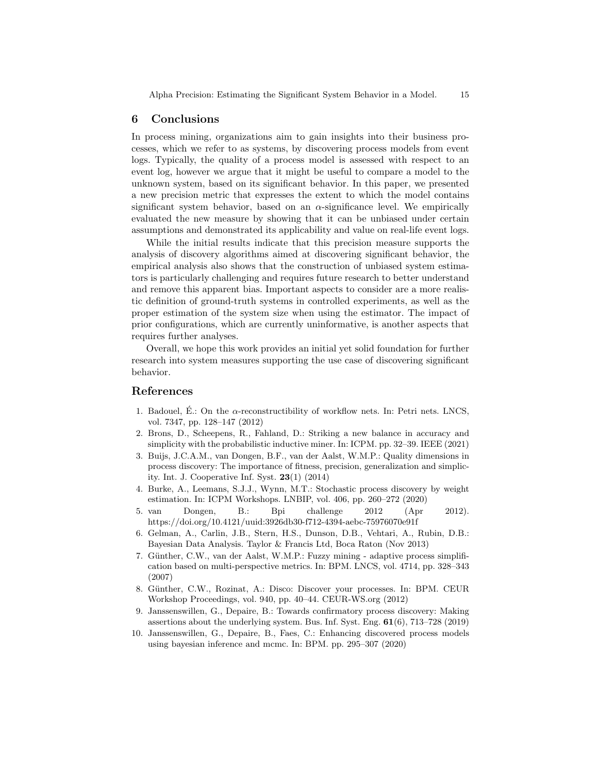Alpha Precision: Estimating the Significant System Behavior in a Model. 15

## 6 Conclusions

In process mining, organizations aim to gain insights into their business processes, which we refer to as systems, by discovering process models from event logs. Typically, the quality of a process model is assessed with respect to an event log, however we argue that it might be useful to compare a model to the unknown system, based on its significant behavior. In this paper, we presented a new precision metric that expresses the extent to which the model contains significant system behavior, based on an  $\alpha$ -significance level. We empirically evaluated the new measure by showing that it can be unbiased under certain assumptions and demonstrated its applicability and value on real-life event logs.

While the initial results indicate that this precision measure supports the analysis of discovery algorithms aimed at discovering significant behavior, the empirical analysis also shows that the construction of unbiased system estimators is particularly challenging and requires future research to better understand and remove this apparent bias. Important aspects to consider are a more realistic definition of ground-truth systems in controlled experiments, as well as the proper estimation of the system size when using the estimator. The impact of prior configurations, which are currently uninformative, is another aspects that requires further analyses.

Overall, we hope this work provides an initial yet solid foundation for further research into system measures supporting the use case of discovering significant behavior.

# References

- 1. Badouel, E.: On the  $\alpha$ -reconstructibility of workflow nets. In: Petri nets. LNCS, vol. 7347, pp. 128–147 (2012)
- 2. Brons, D., Scheepens, R., Fahland, D.: Striking a new balance in accuracy and simplicity with the probabilistic inductive miner. In: ICPM. pp. 32–39. IEEE (2021)
- 3. Buijs, J.C.A.M., van Dongen, B.F., van der Aalst, W.M.P.: Quality dimensions in process discovery: The importance of fitness, precision, generalization and simplicity. Int. J. Cooperative Inf. Syst. 23(1) (2014)
- 4. Burke, A., Leemans, S.J.J., Wynn, M.T.: Stochastic process discovery by weight estimation. In: ICPM Workshops. LNBIP, vol. 406, pp. 260–272 (2020)
- 5. van Dongen, B.: Bpi challenge 2012 (Apr 2012). https://doi.org/10.4121/uuid:3926db30-f712-4394-aebc-75976070e91f
- 6. Gelman, A., Carlin, J.B., Stern, H.S., Dunson, D.B., Vehtari, A., Rubin, D.B.: Bayesian Data Analysis. Taylor & Francis Ltd, Boca Raton (Nov 2013)
- 7. Günther, C.W., van der Aalst, W.M.P.: Fuzzy mining adaptive process simplification based on multi-perspective metrics. In: BPM. LNCS, vol. 4714, pp. 328–343 (2007)
- 8. Günther, C.W., Rozinat, A.: Disco: Discover your processes. In: BPM. CEUR Workshop Proceedings, vol. 940, pp. 40–44. CEUR-WS.org (2012)
- 9. Janssenswillen, G., Depaire, B.: Towards confirmatory process discovery: Making assertions about the underlying system. Bus. Inf. Syst. Eng. 61(6), 713–728 (2019)
- 10. Janssenswillen, G., Depaire, B., Faes, C.: Enhancing discovered process models using bayesian inference and mcmc. In: BPM. pp. 295–307 (2020)